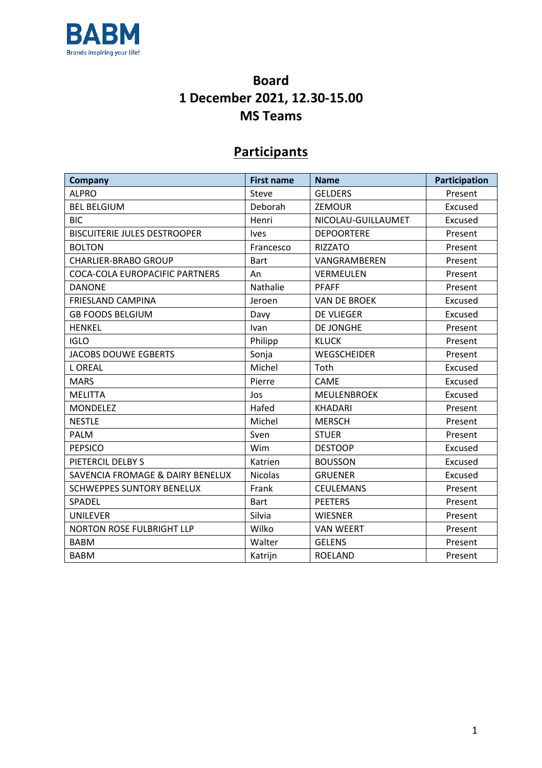

## **Board 1 December 2021, 12.30-15.00 MS Teams**

## **Participants**

| Company                             | <b>First name</b> | <b>Name</b>         | Participation |
|-------------------------------------|-------------------|---------------------|---------------|
| <b>ALPRO</b>                        | Steve             | <b>GELDERS</b>      | Present       |
| <b>BEL BELGIUM</b>                  | Deborah           | ZEMOUR              | Excused       |
| <b>BIC</b>                          | Henri             | NICOLAU-GUILLAUMET  | Excused       |
| <b>BISCUITERIE JULES DESTROOPER</b> | <b>Ives</b>       | <b>DEPOORTERE</b>   | Present       |
| <b>BOLTON</b>                       | Francesco         | <b>RIZZATO</b>      | Present       |
| <b>CHARLIER-BRABO GROUP</b>         | <b>Bart</b>       | VANGRAMBEREN        | Present       |
| COCA-COLA EUROPACIFIC PARTNERS      | An                | <b>VERMEULEN</b>    | Present       |
| <b>DANONE</b>                       | Nathalie          | <b>PFAFF</b>        | Present       |
| <b>FRIESLAND CAMPINA</b>            | Jeroen            | <b>VAN DE BROEK</b> | Excused       |
| <b>GB FOODS BELGIUM</b>             | Davy              | <b>DE VLIEGER</b>   | Excused       |
| <b>HENKEL</b>                       | Ivan              | DE JONGHE           | Present       |
| <b>IGLO</b>                         | Philipp           | <b>KLUCK</b>        | Present       |
| <b>JACOBS DOUWE EGBERTS</b>         | Sonja             | <b>WEGSCHEIDER</b>  | Present       |
| <b>L OREAL</b>                      | Michel            | Toth                | Excused       |
| <b>MARS</b>                         | Pierre            | <b>CAME</b>         | Excused       |
| <b>MELITTA</b>                      | Jos               | <b>MEULENBROEK</b>  | Excused       |
| <b>MONDELEZ</b>                     | Hafed             | <b>KHADARI</b>      | Present       |
| <b>NESTLE</b>                       | Michel            | <b>MERSCH</b>       | Present       |
| <b>PALM</b>                         | Sven              | <b>STUER</b>        | Present       |
| <b>PEPSICO</b>                      | Wim               | <b>DESTOOP</b>      | Excused       |
| PIETERCIL DELBY S                   | Katrien           | <b>BOUSSON</b>      | Excused       |
| SAVENCIA FROMAGE & DAIRY BENELUX    | <b>Nicolas</b>    | <b>GRUENER</b>      | Excused       |
| <b>SCHWEPPES SUNTORY BENELUX</b>    | Frank             | <b>CEULEMANS</b>    | Present       |
| SPADEL                              | <b>Bart</b>       | <b>PEETERS</b>      | Present       |
| <b>UNILEVER</b>                     | Silvia            | <b>WIESNER</b>      | Present       |
| <b>NORTON ROSE FULBRIGHT LLP</b>    | Wilko             | <b>VAN WEERT</b>    | Present       |
| <b>BABM</b>                         | Walter            | <b>GELENS</b>       | Present       |
| <b>BABM</b>                         | Katrijn           | <b>ROELAND</b>      | Present       |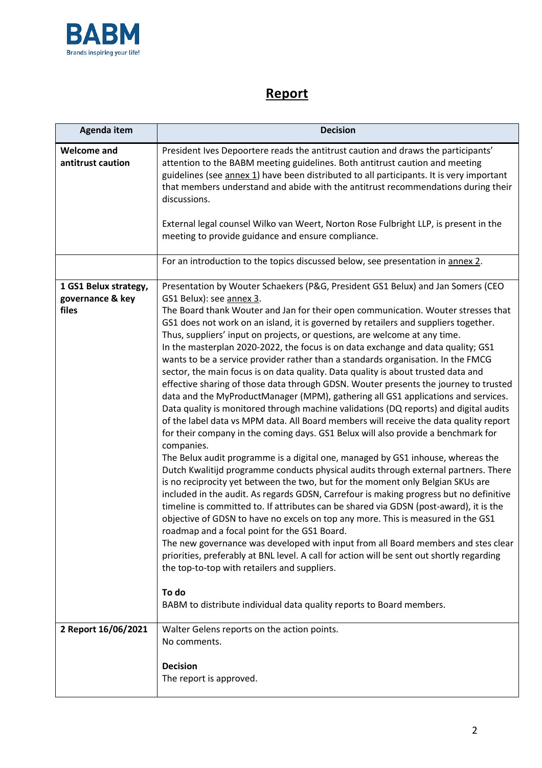

## **Report**

| Agenda item                                        | <b>Decision</b>                                                                                                                                                                                                                                                                                                                                                                                                                                                                                                                                                                                                                                                                                                                                                                                                                                                                                                                                                                                                                                                                                                                                                                                                                                                                                                                                                                                                                                                                                                                                                                                                                                                                                                                                                                                                                                                                                                                                                                                              |  |  |
|----------------------------------------------------|--------------------------------------------------------------------------------------------------------------------------------------------------------------------------------------------------------------------------------------------------------------------------------------------------------------------------------------------------------------------------------------------------------------------------------------------------------------------------------------------------------------------------------------------------------------------------------------------------------------------------------------------------------------------------------------------------------------------------------------------------------------------------------------------------------------------------------------------------------------------------------------------------------------------------------------------------------------------------------------------------------------------------------------------------------------------------------------------------------------------------------------------------------------------------------------------------------------------------------------------------------------------------------------------------------------------------------------------------------------------------------------------------------------------------------------------------------------------------------------------------------------------------------------------------------------------------------------------------------------------------------------------------------------------------------------------------------------------------------------------------------------------------------------------------------------------------------------------------------------------------------------------------------------------------------------------------------------------------------------------------------------|--|--|
| <b>Welcome and</b><br>antitrust caution            | President Ives Depoortere reads the antitrust caution and draws the participants'<br>attention to the BABM meeting guidelines. Both antitrust caution and meeting<br>guidelines (see annex 1) have been distributed to all participants. It is very important<br>that members understand and abide with the antitrust recommendations during their<br>discussions.<br>External legal counsel Wilko van Weert, Norton Rose Fulbright LLP, is present in the<br>meeting to provide guidance and ensure compliance.                                                                                                                                                                                                                                                                                                                                                                                                                                                                                                                                                                                                                                                                                                                                                                                                                                                                                                                                                                                                                                                                                                                                                                                                                                                                                                                                                                                                                                                                                             |  |  |
|                                                    | For an introduction to the topics discussed below, see presentation in annex 2.                                                                                                                                                                                                                                                                                                                                                                                                                                                                                                                                                                                                                                                                                                                                                                                                                                                                                                                                                                                                                                                                                                                                                                                                                                                                                                                                                                                                                                                                                                                                                                                                                                                                                                                                                                                                                                                                                                                              |  |  |
| 1 GS1 Belux strategy,<br>governance & key<br>files | Presentation by Wouter Schaekers (P&G, President GS1 Belux) and Jan Somers (CEO<br>GS1 Belux): see annex 3.<br>The Board thank Wouter and Jan for their open communication. Wouter stresses that<br>GS1 does not work on an island, it is governed by retailers and suppliers together.<br>Thus, suppliers' input on projects, or questions, are welcome at any time.<br>In the masterplan 2020-2022, the focus is on data exchange and data quality; GS1<br>wants to be a service provider rather than a standards organisation. In the FMCG<br>sector, the main focus is on data quality. Data quality is about trusted data and<br>effective sharing of those data through GDSN. Wouter presents the journey to trusted<br>data and the MyProductManager (MPM), gathering all GS1 applications and services.<br>Data quality is monitored through machine validations (DQ reports) and digital audits<br>of the label data vs MPM data. All Board members will receive the data quality report<br>for their company in the coming days. GS1 Belux will also provide a benchmark for<br>companies.<br>The Belux audit programme is a digital one, managed by GS1 inhouse, whereas the<br>Dutch Kwalitijd programme conducts physical audits through external partners. There<br>is no reciprocity yet between the two, but for the moment only Belgian SKUs are<br>included in the audit. As regards GDSN, Carrefour is making progress but no definitive<br>timeline is committed to. If attributes can be shared via GDSN (post-award), it is the<br>objective of GDSN to have no excels on top any more. This is measured in the GS1<br>roadmap and a focal point for the GS1 Board.<br>The new governance was developed with input from all Board members and stes clear<br>priorities, preferably at BNL level. A call for action will be sent out shortly regarding<br>the top-to-top with retailers and suppliers.<br>To do<br>BABM to distribute individual data quality reports to Board members. |  |  |
| 2 Report 16/06/2021                                | Walter Gelens reports on the action points.<br>No comments.<br><b>Decision</b><br>The report is approved.                                                                                                                                                                                                                                                                                                                                                                                                                                                                                                                                                                                                                                                                                                                                                                                                                                                                                                                                                                                                                                                                                                                                                                                                                                                                                                                                                                                                                                                                                                                                                                                                                                                                                                                                                                                                                                                                                                    |  |  |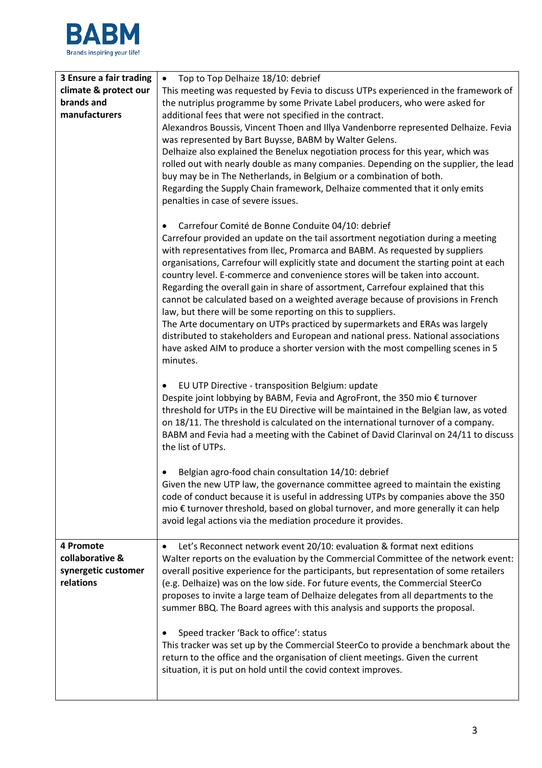

| 3 Ensure a fair trading                                          | Top to Top Delhaize 18/10: debrief<br>$\bullet$                                                                                                                                                                                                                                                                                                                                                                                                                                                                  |
|------------------------------------------------------------------|------------------------------------------------------------------------------------------------------------------------------------------------------------------------------------------------------------------------------------------------------------------------------------------------------------------------------------------------------------------------------------------------------------------------------------------------------------------------------------------------------------------|
| climate & protect our                                            | This meeting was requested by Fevia to discuss UTPs experienced in the framework of                                                                                                                                                                                                                                                                                                                                                                                                                              |
| brands and                                                       | the nutriplus programme by some Private Label producers, who were asked for                                                                                                                                                                                                                                                                                                                                                                                                                                      |
| manufacturers                                                    | additional fees that were not specified in the contract.                                                                                                                                                                                                                                                                                                                                                                                                                                                         |
|                                                                  | Alexandros Boussis, Vincent Thoen and Illya Vandenborre represented Delhaize. Fevia<br>was represented by Bart Buysse, BABM by Walter Gelens.<br>Delhaize also explained the Benelux negotiation process for this year, which was                                                                                                                                                                                                                                                                                |
|                                                                  | rolled out with nearly double as many companies. Depending on the supplier, the lead<br>buy may be in The Netherlands, in Belgium or a combination of both.<br>Regarding the Supply Chain framework, Delhaize commented that it only emits                                                                                                                                                                                                                                                                       |
|                                                                  | penalties in case of severe issues.                                                                                                                                                                                                                                                                                                                                                                                                                                                                              |
|                                                                  | Carrefour Comité de Bonne Conduite 04/10: debrief<br>Carrefour provided an update on the tail assortment negotiation during a meeting<br>with representatives from Ilec, Promarca and BABM. As requested by suppliers<br>organisations, Carrefour will explicitly state and document the starting point at each<br>country level. E-commerce and convenience stores will be taken into account.                                                                                                                  |
|                                                                  | Regarding the overall gain in share of assortment, Carrefour explained that this<br>cannot be calculated based on a weighted average because of provisions in French<br>law, but there will be some reporting on this to suppliers.<br>The Arte documentary on UTPs practiced by supermarkets and ERAs was largely                                                                                                                                                                                               |
|                                                                  | distributed to stakeholders and European and national press. National associations<br>have asked AIM to produce a shorter version with the most compelling scenes in 5<br>minutes.                                                                                                                                                                                                                                                                                                                               |
|                                                                  | EU UTP Directive - transposition Belgium: update<br>٠<br>Despite joint lobbying by BABM, Fevia and AgroFront, the 350 mio € turnover<br>threshold for UTPs in the EU Directive will be maintained in the Belgian law, as voted<br>on 18/11. The threshold is calculated on the international turnover of a company.<br>BABM and Fevia had a meeting with the Cabinet of David Clarinval on 24/11 to discuss<br>the list of UTPs.                                                                                 |
|                                                                  | Belgian agro-food chain consultation 14/10: debrief<br>Given the new UTP law, the governance committee agreed to maintain the existing<br>code of conduct because it is useful in addressing UTPs by companies above the 350<br>mio € turnover threshold, based on global turnover, and more generally it can help<br>avoid legal actions via the mediation procedure it provides.                                                                                                                               |
| 4 Promote<br>collaborative &<br>synergetic customer<br>relations | Let's Reconnect network event 20/10: evaluation & format next editions<br>٠<br>Walter reports on the evaluation by the Commercial Committee of the network event:<br>overall positive experience for the participants, but representation of some retailers<br>(e.g. Delhaize) was on the low side. For future events, the Commercial SteerCo<br>proposes to invite a large team of Delhaize delegates from all departments to the<br>summer BBQ. The Board agrees with this analysis and supports the proposal. |
|                                                                  | Speed tracker 'Back to office': status<br>This tracker was set up by the Commercial SteerCo to provide a benchmark about the<br>return to the office and the organisation of client meetings. Given the current<br>situation, it is put on hold until the covid context improves.                                                                                                                                                                                                                                |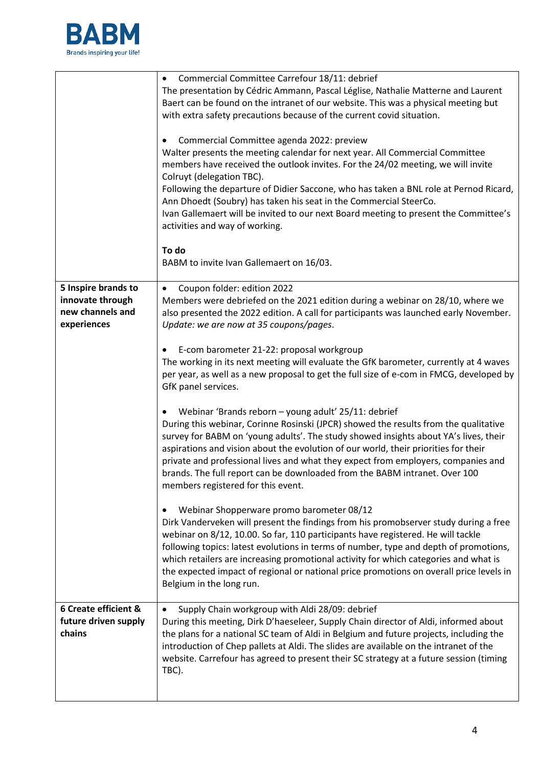

|                                                                            | Commercial Committee Carrefour 18/11: debrief<br>The presentation by Cédric Ammann, Pascal Léglise, Nathalie Matterne and Laurent<br>Baert can be found on the intranet of our website. This was a physical meeting but<br>with extra safety precautions because of the current covid situation.<br>Commercial Committee agenda 2022: preview<br>Walter presents the meeting calendar for next year. All Commercial Committee<br>members have received the outlook invites. For the 24/02 meeting, we will invite<br>Colruyt (delegation TBC).<br>Following the departure of Didier Saccone, who has taken a BNL role at Pernod Ricard,<br>Ann Dhoedt (Soubry) has taken his seat in the Commercial SteerCo.<br>Ivan Gallemaert will be invited to our next Board meeting to present the Committee's<br>activities and way of working. |  |  |
|----------------------------------------------------------------------------|----------------------------------------------------------------------------------------------------------------------------------------------------------------------------------------------------------------------------------------------------------------------------------------------------------------------------------------------------------------------------------------------------------------------------------------------------------------------------------------------------------------------------------------------------------------------------------------------------------------------------------------------------------------------------------------------------------------------------------------------------------------------------------------------------------------------------------------|--|--|
|                                                                            | To do<br>BABM to invite Ivan Gallemaert on 16/03.                                                                                                                                                                                                                                                                                                                                                                                                                                                                                                                                                                                                                                                                                                                                                                                      |  |  |
| 5 Inspire brands to<br>innovate through<br>new channels and<br>experiences | Coupon folder: edition 2022<br>٠<br>Members were debriefed on the 2021 edition during a webinar on 28/10, where we<br>also presented the 2022 edition. A call for participants was launched early November.<br>Update: we are now at 35 coupons/pages.                                                                                                                                                                                                                                                                                                                                                                                                                                                                                                                                                                                 |  |  |
|                                                                            | E-com barometer 21-22: proposal workgroup<br>٠<br>The working in its next meeting will evaluate the GfK barometer, currently at 4 waves<br>per year, as well as a new proposal to get the full size of e-com in FMCG, developed by<br>GfK panel services.                                                                                                                                                                                                                                                                                                                                                                                                                                                                                                                                                                              |  |  |
|                                                                            | Webinar 'Brands reborn - young adult' 25/11: debrief<br>During this webinar, Corinne Rosinski (JPCR) showed the results from the qualitative<br>survey for BABM on 'young adults'. The study showed insights about YA's lives, their<br>aspirations and vision about the evolution of our world, their priorities for their<br>private and professional lives and what they expect from employers, companies and<br>brands. The full report can be downloaded from the BABM intranet. Over 100<br>members registered for this event.                                                                                                                                                                                                                                                                                                   |  |  |
|                                                                            | Webinar Shopperware promo barometer 08/12<br>٠<br>Dirk Vanderveken will present the findings from his promobserver study during a free<br>webinar on 8/12, 10.00. So far, 110 participants have registered. He will tackle<br>following topics: latest evolutions in terms of number, type and depth of promotions,<br>which retailers are increasing promotional activity for which categories and what is<br>the expected impact of regional or national price promotions on overall price levels in<br>Belgium in the long run.                                                                                                                                                                                                                                                                                                     |  |  |
| 6 Create efficient &<br>future driven supply<br>chains                     | Supply Chain workgroup with Aldi 28/09: debrief<br>٠<br>During this meeting, Dirk D'haeseleer, Supply Chain director of Aldi, informed about<br>the plans for a national SC team of Aldi in Belgium and future projects, including the<br>introduction of Chep pallets at Aldi. The slides are available on the intranet of the<br>website. Carrefour has agreed to present their SC strategy at a future session (timing<br>TBC).                                                                                                                                                                                                                                                                                                                                                                                                     |  |  |